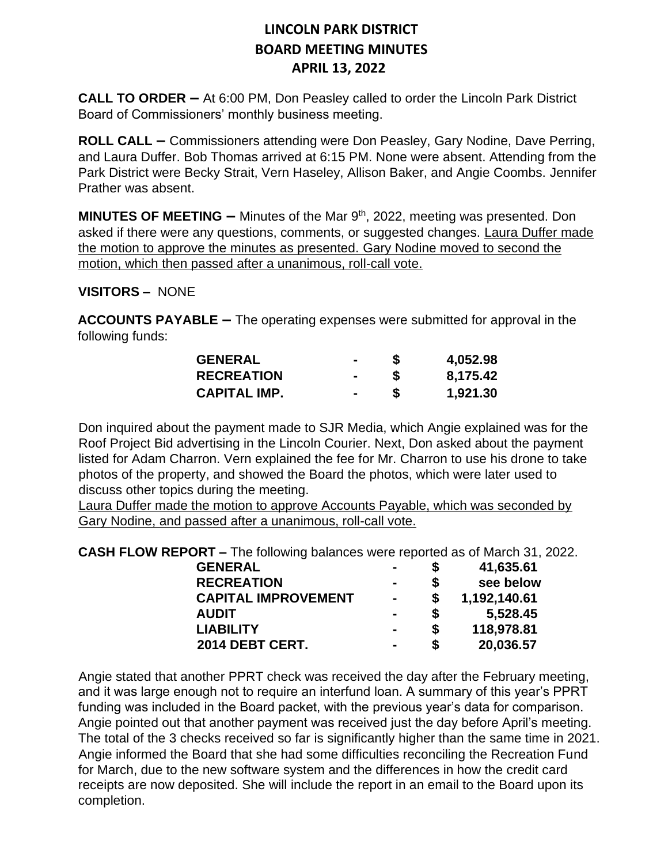**CALL TO ORDER –** At 6:00 PM, Don Peasley called to order the Lincoln Park District Board of Commissioners' monthly business meeting.

**ROLL CALL –** Commissioners attending were Don Peasley, Gary Nodine, Dave Perring, and Laura Duffer. Bob Thomas arrived at 6:15 PM. None were absent. Attending from the Park District were Becky Strait, Vern Haseley, Allison Baker, and Angie Coombs. Jennifer Prather was absent.

**MINUTES OF MEETING –** Minutes of the Mar 9<sup>th</sup>, 2022, meeting was presented. Don asked if there were any questions, comments, or suggested changes. Laura Duffer made the motion to approve the minutes as presented. Gary Nodine moved to second the motion, which then passed after a unanimous, roll-call vote.

**VISITORS –** NONE

**ACCOUNTS PAYABLE –** The operating expenses were submitted for approval in the following funds:

| <b>GENERAL</b>      |        | 4,052.98 |
|---------------------|--------|----------|
| <b>RECREATION</b>   | $\sim$ | 8,175.42 |
| <b>CAPITAL IMP.</b> |        | 1,921.30 |

Don inquired about the payment made to SJR Media, which Angie explained was for the Roof Project Bid advertising in the Lincoln Courier. Next, Don asked about the payment listed for Adam Charron. Vern explained the fee for Mr. Charron to use his drone to take photos of the property, and showed the Board the photos, which were later used to discuss other topics during the meeting.

Laura Duffer made the motion to approve Accounts Payable, which was seconded by Gary Nodine, and passed after a unanimous, roll-call vote.

**CASH FLOW REPORT –** The following balances were reported as of March 31, 2022.

| <b>GENERAL</b>             | $\blacksquare$ |   | 41,635.61    |
|----------------------------|----------------|---|--------------|
| <b>RECREATION</b>          | $\blacksquare$ |   | see below    |
| <b>CAPITAL IMPROVEMENT</b> | $\blacksquare$ |   | 1,192,140.61 |
| <b>AUDIT</b>               |                | S | 5,528.45     |
| <b>LIABILITY</b>           | $\blacksquare$ | S | 118,978.81   |
| 2014 DEBT CERT.            |                | S | 20,036.57    |

Angie stated that another PPRT check was received the day after the February meeting, and it was large enough not to require an interfund loan. A summary of this year's PPRT funding was included in the Board packet, with the previous year's data for comparison. Angie pointed out that another payment was received just the day before April's meeting. The total of the 3 checks received so far is significantly higher than the same time in 2021. Angie informed the Board that she had some difficulties reconciling the Recreation Fund for March, due to the new software system and the differences in how the credit card receipts are now deposited. She will include the report in an email to the Board upon its completion.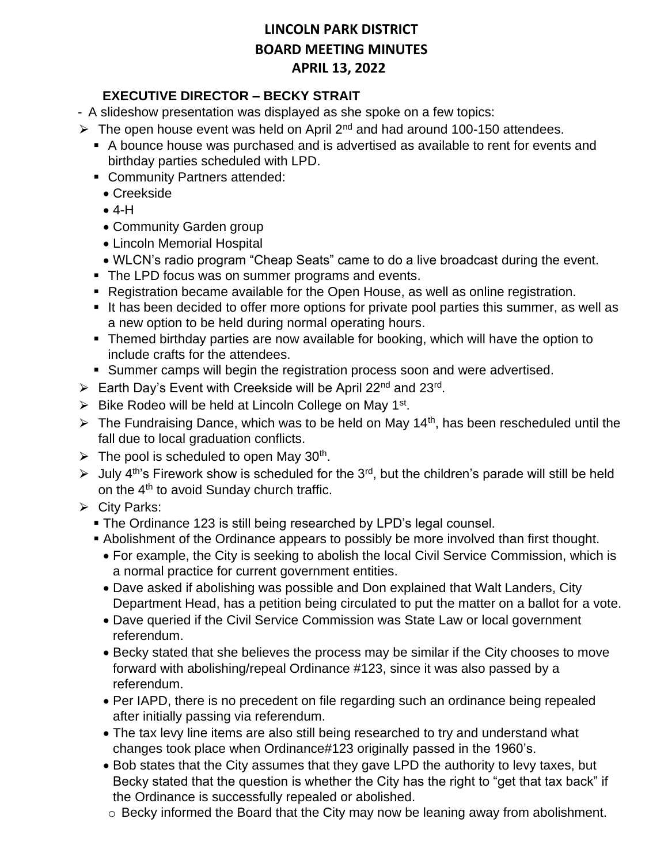### **EXECUTIVE DIRECTOR – BECKY STRAIT**

- A slideshow presentation was displayed as she spoke on a few topics:
- $\triangleright$  The open house event was held on April 2<sup>nd</sup> and had around 100-150 attendees.
	- A bounce house was purchased and is advertised as available to rent for events and birthday parties scheduled with LPD.
	- Community Partners attended:
		- Creekside
		- $4-H$
		- Community Garden group
		- Lincoln Memorial Hospital
		- WLCN's radio program "Cheap Seats" came to do a live broadcast during the event.
	- The LPD focus was on summer programs and events.
	- Registration became available for the Open House, as well as online registration.
	- It has been decided to offer more options for private pool parties this summer, as well as a new option to be held during normal operating hours.
	- Themed birthday parties are now available for booking, which will have the option to include crafts for the attendees.
	- Summer camps will begin the registration process soon and were advertised.
- ► Earth Day's Event with Creekside will be April 22<sup>nd</sup> and 23<sup>rd</sup>.
- $\triangleright$  Bike Rodeo will be held at Lincoln College on May 1<sup>st</sup>.
- $\triangleright$  The Fundraising Dance, which was to be held on May 14<sup>th</sup>, has been rescheduled until the fall due to local graduation conflicts.
- $\triangleright$  The pool is scheduled to open May 30<sup>th</sup>.
- $\triangleright$  July 4<sup>th</sup>'s Firework show is scheduled for the 3<sup>rd</sup>, but the children's parade will still be held on the 4<sup>th</sup> to avoid Sunday church traffic.
- $\triangleright$  City Parks:
	- **The Ordinance 123 is still being researched by LPD's legal counsel.**
	- **Abolishment of the Ordinance appears to possibly be more involved than first thought.** 
		- For example, the City is seeking to abolish the local Civil Service Commission, which is a normal practice for current government entities.
		- Dave asked if abolishing was possible and Don explained that Walt Landers, City Department Head, has a petition being circulated to put the matter on a ballot for a vote.
		- Dave queried if the Civil Service Commission was State Law or local government referendum.
		- Becky stated that she believes the process may be similar if the City chooses to move forward with abolishing/repeal Ordinance #123, since it was also passed by a referendum.
		- Per IAPD, there is no precedent on file regarding such an ordinance being repealed after initially passing via referendum.
		- The tax levy line items are also still being researched to try and understand what changes took place when Ordinance#123 originally passed in the 1960's.
		- Bob states that the City assumes that they gave LPD the authority to levy taxes, but Becky stated that the question is whether the City has the right to "get that tax back" if the Ordinance is successfully repealed or abolished.
		- o Becky informed the Board that the City may now be leaning away from abolishment.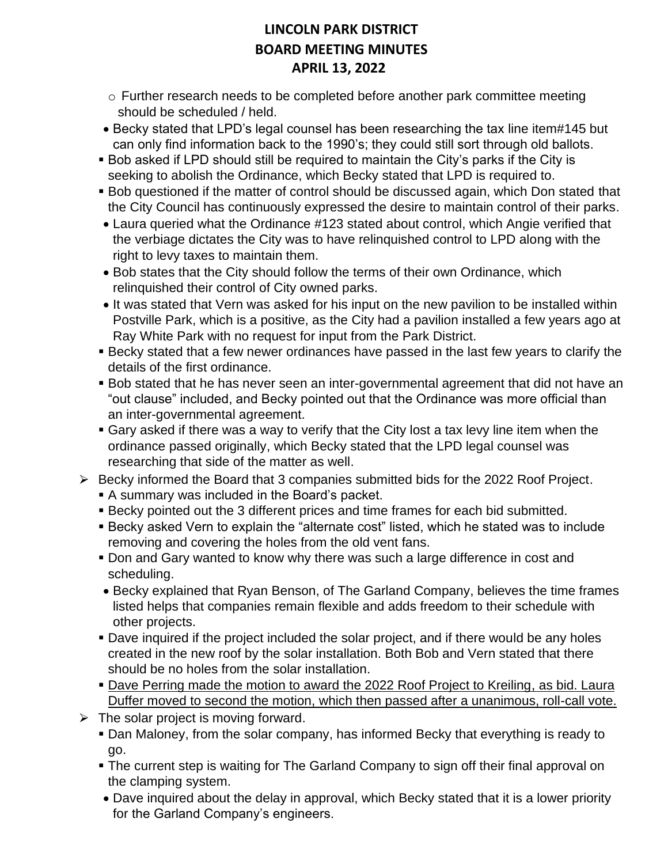- o Further research needs to be completed before another park committee meeting should be scheduled / held.
- Becky stated that LPD's legal counsel has been researching the tax line item#145 but can only find information back to the 1990's; they could still sort through old ballots.
- Bob asked if LPD should still be required to maintain the City's parks if the City is seeking to abolish the Ordinance, which Becky stated that LPD is required to.
- Bob questioned if the matter of control should be discussed again, which Don stated that the City Council has continuously expressed the desire to maintain control of their parks.
- Laura queried what the Ordinance #123 stated about control, which Angie verified that the verbiage dictates the City was to have relinquished control to LPD along with the right to levy taxes to maintain them.
- Bob states that the City should follow the terms of their own Ordinance, which relinquished their control of City owned parks.
- It was stated that Vern was asked for his input on the new pavilion to be installed within Postville Park, which is a positive, as the City had a pavilion installed a few years ago at Ray White Park with no request for input from the Park District.
- **EXECT A** Becky stated that a few newer ordinances have passed in the last few years to clarify the details of the first ordinance.
- Bob stated that he has never seen an inter-governmental agreement that did not have an "out clause" included, and Becky pointed out that the Ordinance was more official than an inter-governmental agreement.
- Gary asked if there was a way to verify that the City lost a tax levy line item when the ordinance passed originally, which Becky stated that the LPD legal counsel was researching that side of the matter as well.
- $\triangleright$  Becky informed the Board that 3 companies submitted bids for the 2022 Roof Project.
	- A summary was included in the Board's packet.
	- Becky pointed out the 3 different prices and time frames for each bid submitted.
	- Becky asked Vern to explain the "alternate cost" listed, which he stated was to include removing and covering the holes from the old vent fans.
	- **Don and Gary wanted to know why there was such a large difference in cost and** scheduling.
	- Becky explained that Ryan Benson, of The Garland Company, believes the time frames listed helps that companies remain flexible and adds freedom to their schedule with other projects.
	- Dave inquired if the project included the solar project, and if there would be any holes created in the new roof by the solar installation. Both Bob and Vern stated that there should be no holes from the solar installation.
	- Dave Perring made the motion to award the 2022 Roof Project to Kreiling, as bid. Laura Duffer moved to second the motion, which then passed after a unanimous, roll-call vote.
- $\triangleright$  The solar project is moving forward.
	- Dan Maloney, from the solar company, has informed Becky that everything is ready to go.
	- **The current step is waiting for The Garland Company to sign off their final approval on** the clamping system.
	- Dave inquired about the delay in approval, which Becky stated that it is a lower priority for the Garland Company's engineers.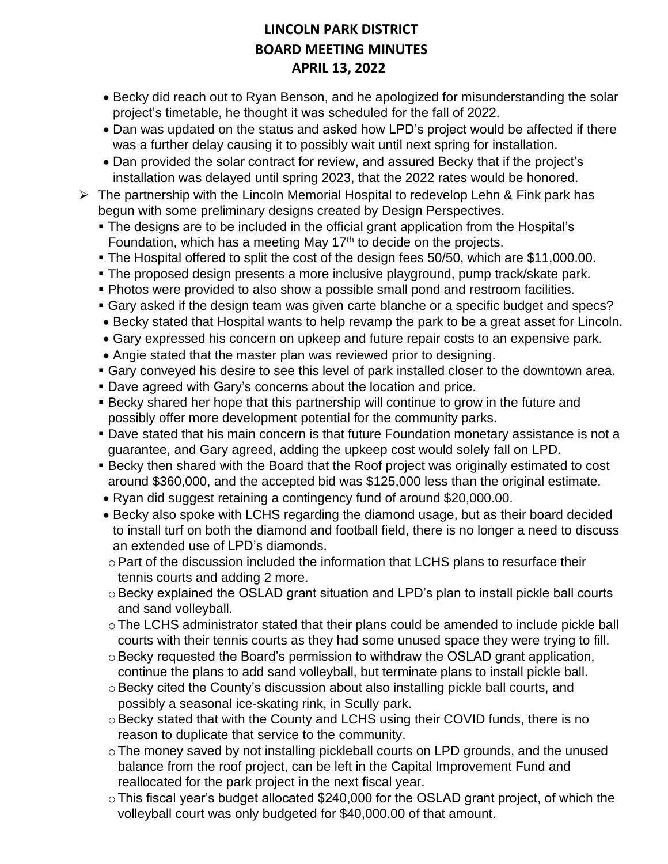- Becky did reach out to Ryan Benson, and he apologized for misunderstanding the solar project's timetable, he thought it was scheduled for the fall of 2022.
- Dan was updated on the status and asked how LPD's project would be affected if there was a further delay causing it to possibly wait until next spring for installation.
- Dan provided the solar contract for review, and assured Becky that if the project's installation was delayed until spring 2023, that the 2022 rates would be honored.
- $\triangleright$  The partnership with the Lincoln Memorial Hospital to redevelop Lehn & Fink park has begun with some preliminary designs created by Design Perspectives.
	- The designs are to be included in the official grant application from the Hospital's Foundation, which has a meeting May 17<sup>th</sup> to decide on the projects.
	- The Hospital offered to split the cost of the design fees 50/50, which are \$11,000.00.
	- The proposed design presents a more inclusive playground, pump track/skate park.
	- Photos were provided to also show a possible small pond and restroom facilities.
	- Gary asked if the design team was given carte blanche or a specific budget and specs?
	- Becky stated that Hospital wants to help revamp the park to be a great asset for Lincoln.
	- Gary expressed his concern on upkeep and future repair costs to an expensive park.
	- Angie stated that the master plan was reviewed prior to designing.
	- **Gary conveyed his desire to see this level of park installed closer to the downtown area.**
	- Dave agreed with Gary's concerns about the location and price.
	- **Becky shared her hope that this partnership will continue to grow in the future and** possibly offer more development potential for the community parks.
	- **Dave stated that his main concern is that future Foundation monetary assistance is not a** guarantee, and Gary agreed, adding the upkeep cost would solely fall on LPD.
	- Becky then shared with the Board that the Roof project was originally estimated to cost around \$360,000, and the accepted bid was \$125,000 less than the original estimate.
	- Ryan did suggest retaining a contingency fund of around \$20,000.00.
	- Becky also spoke with LCHS regarding the diamond usage, but as their board decided to install turf on both the diamond and football field, there is no longer a need to discuss an extended use of LPD's diamonds.
	- $\circ$  Part of the discussion included the information that LCHS plans to resurface their tennis courts and adding 2 more.
	- o Becky explained the OSLAD grant situation and LPD's plan to install pickle ball courts and sand volleyball.
	- oThe LCHS administrator stated that their plans could be amended to include pickle ball courts with their tennis courts as they had some unused space they were trying to fill.
	- o Becky requested the Board's permission to withdraw the OSLAD grant application, continue the plans to add sand volleyball, but terminate plans to install pickle ball.
	- oBecky cited the County's discussion about also installing pickle ball courts, and possibly a seasonal ice-skating rink, in Scully park.
	- o Becky stated that with the County and LCHS using their COVID funds, there is no reason to duplicate that service to the community.
	- o The money saved by not installing pickleball courts on LPD grounds, and the unused balance from the roof project, can be left in the Capital Improvement Fund and reallocated for the park project in the next fiscal year.
	- oThis fiscal year's budget allocated \$240,000 for the OSLAD grant project, of which the volleyball court was only budgeted for \$40,000.00 of that amount.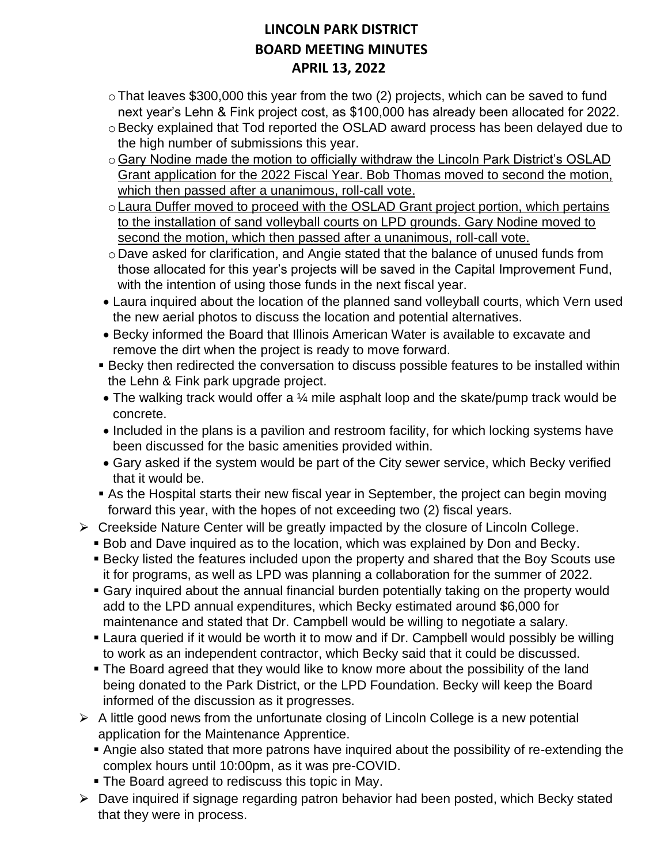- $\circ$  That leaves \$300,000 this year from the two (2) projects, which can be saved to fund next year's Lehn & Fink project cost, as \$100,000 has already been allocated for 2022.
- o Becky explained that Tod reported the OSLAD award process has been delayed due to the high number of submissions this year.
- o Gary Nodine made the motion to officially withdraw the Lincoln Park District's OSLAD Grant application for the 2022 Fiscal Year. Bob Thomas moved to second the motion, which then passed after a unanimous, roll-call vote.
- oLaura Duffer moved to proceed with the OSLAD Grant project portion, which pertains to the installation of sand volleyball courts on LPD grounds. Gary Nodine moved to second the motion, which then passed after a unanimous, roll-call vote.
- o Dave asked for clarification, and Angie stated that the balance of unused funds from those allocated for this year's projects will be saved in the Capital Improvement Fund, with the intention of using those funds in the next fiscal year.
- Laura inquired about the location of the planned sand volleyball courts, which Vern used the new aerial photos to discuss the location and potential alternatives.
- Becky informed the Board that Illinois American Water is available to excavate and remove the dirt when the project is ready to move forward.
- **EXECT FEAT IS EXECT FEAT THE PEAT THE PROCE THE CONVERGENCE FEATLE FEATLE IS EXECT** FEATLED Within the Lehn & Fink park upgrade project.
- The walking track would offer a 1/4 mile asphalt loop and the skate/pump track would be concrete.
- Included in the plans is a pavilion and restroom facility, for which locking systems have been discussed for the basic amenities provided within.
- Gary asked if the system would be part of the City sewer service, which Becky verified that it would be.
- As the Hospital starts their new fiscal year in September, the project can begin moving forward this year, with the hopes of not exceeding two (2) fiscal years.
- $\triangleright$  Creekside Nature Center will be greatly impacted by the closure of Lincoln College.
	- Bob and Dave inquired as to the location, which was explained by Don and Becky.
	- **EXECT SECT IS EXECT FEATURE:** Included upon the property and shared that the Boy Scouts use it for programs, as well as LPD was planning a collaboration for the summer of 2022.
	- Gary inquired about the annual financial burden potentially taking on the property would add to the LPD annual expenditures, which Becky estimated around \$6,000 for maintenance and stated that Dr. Campbell would be willing to negotiate a salary.
	- Laura queried if it would be worth it to mow and if Dr. Campbell would possibly be willing to work as an independent contractor, which Becky said that it could be discussed.
	- The Board agreed that they would like to know more about the possibility of the land being donated to the Park District, or the LPD Foundation. Becky will keep the Board informed of the discussion as it progresses.
- $\triangleright$  A little good news from the unfortunate closing of Lincoln College is a new potential application for the Maintenance Apprentice.
	- Angie also stated that more patrons have inquired about the possibility of re-extending the complex hours until 10:00pm, as it was pre-COVID.
	- **The Board agreed to rediscuss this topic in May.**
- $\triangleright$  Dave inquired if signage regarding patron behavior had been posted, which Becky stated that they were in process.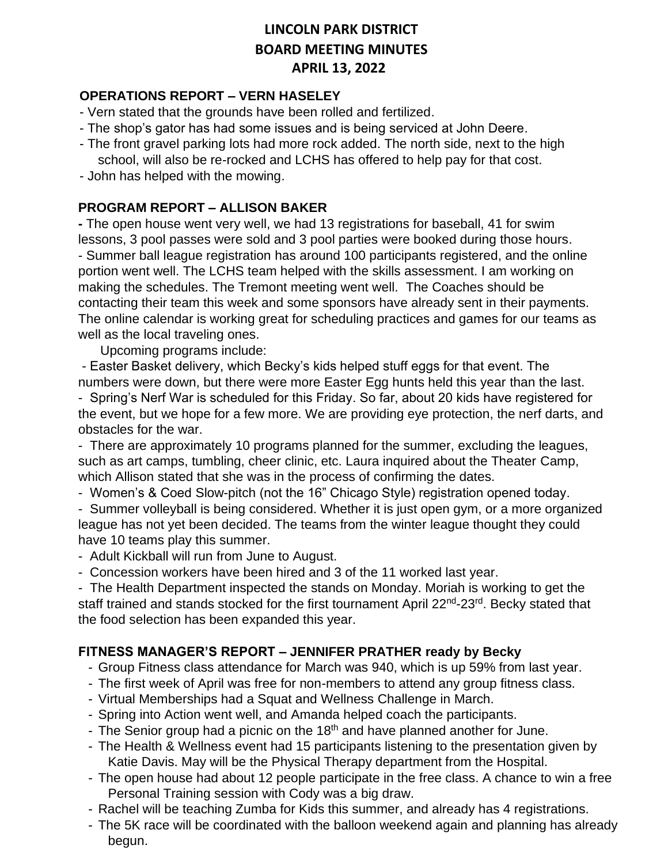#### **OPERATIONS REPORT – VERN HASELEY**

- Vern stated that the grounds have been rolled and fertilized.
- The shop's gator has had some issues and is being serviced at John Deere.
- The front gravel parking lots had more rock added. The north side, next to the high school, will also be re-rocked and LCHS has offered to help pay for that cost.
- John has helped with the mowing.

#### **PROGRAM REPORT – ALLISON BAKER**

**-** The open house went very well, we had 13 registrations for baseball, 41 for swim lessons, 3 pool passes were sold and 3 pool parties were booked during those hours. - Summer ball league registration has around 100 participants registered, and the online portion went well. The LCHS team helped with the skills assessment. I am working on making the schedules. The Tremont meeting went well. The Coaches should be contacting their team this week and some sponsors have already sent in their payments. The online calendar is working great for scheduling practices and games for our teams as well as the local traveling ones.

Upcoming programs include:

- Easter Basket delivery, which Becky's kids helped stuff eggs for that event. The numbers were down, but there were more Easter Egg hunts held this year than the last. - Spring's Nerf War is scheduled for this Friday. So far, about 20 kids have registered for

the event, but we hope for a few more. We are providing eye protection, the nerf darts, and obstacles for the war.

- There are approximately 10 programs planned for the summer, excluding the leagues, such as art camps, tumbling, cheer clinic, etc. Laura inquired about the Theater Camp, which Allison stated that she was in the process of confirming the dates.

- Women's & Coed Slow-pitch (not the 16" Chicago Style) registration opened today.

- Summer volleyball is being considered. Whether it is just open gym, or a more organized league has not yet been decided. The teams from the winter league thought they could have 10 teams play this summer.

- Adult Kickball will run from June to August.
- Concession workers have been hired and 3 of the 11 worked last year.

- The Health Department inspected the stands on Monday. Moriah is working to get the staff trained and stands stocked for the first tournament April 22<sup>nd</sup>-23<sup>rd</sup>. Becky stated that the food selection has been expanded this year.

#### **FITNESS MANAGER'S REPORT – JENNIFER PRATHER ready by Becky**

- Group Fitness class attendance for March was 940, which is up 59% from last year.
- The first week of April was free for non-members to attend any group fitness class.
- Virtual Memberships had a Squat and Wellness Challenge in March.
- Spring into Action went well, and Amanda helped coach the participants.
- The Senior group had a picnic on the  $18<sup>th</sup>$  and have planned another for June.
- The Health & Wellness event had 15 participants listening to the presentation given by Katie Davis. May will be the Physical Therapy department from the Hospital.
- The open house had about 12 people participate in the free class. A chance to win a free Personal Training session with Cody was a big draw.
- Rachel will be teaching Zumba for Kids this summer, and already has 4 registrations.
- The 5K race will be coordinated with the balloon weekend again and planning has already begun.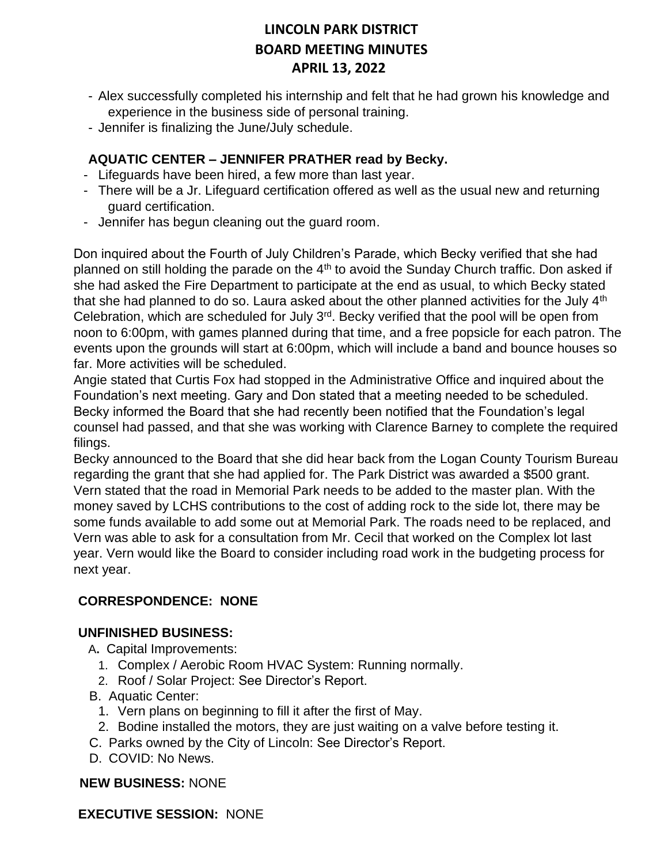- Alex successfully completed his internship and felt that he had grown his knowledge and experience in the business side of personal training.
- Jennifer is finalizing the June/July schedule.

### **AQUATIC CENTER – JENNIFER PRATHER read by Becky.**

- Lifeguards have been hired, a few more than last year.
- There will be a Jr. Lifeguard certification offered as well as the usual new and returning guard certification.
- Jennifer has begun cleaning out the guard room.

Don inquired about the Fourth of July Children's Parade, which Becky verified that she had planned on still holding the parade on the  $4<sup>th</sup>$  to avoid the Sunday Church traffic. Don asked if she had asked the Fire Department to participate at the end as usual, to which Becky stated that she had planned to do so. Laura asked about the other planned activities for the July  $4<sup>th</sup>$ Celebration, which are scheduled for July 3<sup>rd</sup>. Becky verified that the pool will be open from noon to 6:00pm, with games planned during that time, and a free popsicle for each patron. The events upon the grounds will start at 6:00pm, which will include a band and bounce houses so far. More activities will be scheduled.

Angie stated that Curtis Fox had stopped in the Administrative Office and inquired about the Foundation's next meeting. Gary and Don stated that a meeting needed to be scheduled. Becky informed the Board that she had recently been notified that the Foundation's legal counsel had passed, and that she was working with Clarence Barney to complete the required filings.

Becky announced to the Board that she did hear back from the Logan County Tourism Bureau regarding the grant that she had applied for. The Park District was awarded a \$500 grant. Vern stated that the road in Memorial Park needs to be added to the master plan. With the money saved by LCHS contributions to the cost of adding rock to the side lot, there may be some funds available to add some out at Memorial Park. The roads need to be replaced, and Vern was able to ask for a consultation from Mr. Cecil that worked on the Complex lot last year. Vern would like the Board to consider including road work in the budgeting process for next year.

### **CORRESPONDENCE: NONE**

#### **UNFINISHED BUSINESS:**

- A**.** Capital Improvements:
	- 1. Complex / Aerobic Room HVAC System: Running normally.
	- 2. Roof / Solar Project: See Director's Report.
- B. Aquatic Center:
	- 1. Vern plans on beginning to fill it after the first of May.
	- 2. Bodine installed the motors, they are just waiting on a valve before testing it.
- C. Parks owned by the City of Lincoln: See Director's Report.
- D. COVID: No News.

#### **NEW BUSINESS:** NONE

**EXECUTIVE SESSION:** NONE